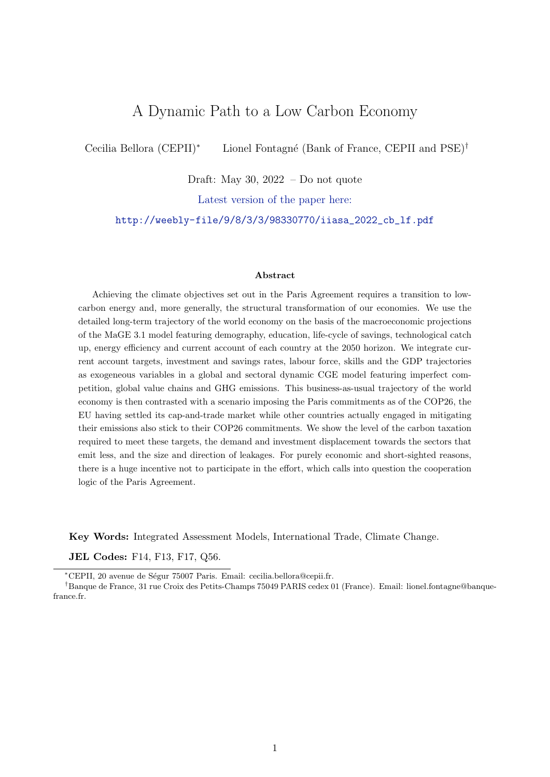# A Dynamic Path to a Low Carbon Economy

Cecilia Bellora (CEPII)<sup>∗</sup> Lionel Fontagné (Bank of France, CEPII and PSE)<sup>†</sup>

Draft: May 30, 2022 – Do not quote

Latest version of the paper here:

[http://weebly-file/9/8/3/3/98330770/iiasa\\_2022\\_cb\\_lf.pdf](http://weebly-file/9/8/3/3/98330770/iiasa_2022_cb_lf.pdf)

#### Abstract

Achieving the climate objectives set out in the Paris Agreement requires a transition to lowcarbon energy and, more generally, the structural transformation of our economies. We use the detailed long-term trajectory of the world economy on the basis of the macroeconomic projections of the MaGE 3.1 model featuring demography, education, life-cycle of savings, technological catch up, energy efficiency and current account of each country at the 2050 horizon. We integrate current account targets, investment and savings rates, labour force, skills and the GDP trajectories as exogeneous variables in a global and sectoral dynamic CGE model featuring imperfect competition, global value chains and GHG emissions. This business-as-usual trajectory of the world economy is then contrasted with a scenario imposing the Paris commitments as of the COP26, the EU having settled its cap-and-trade market while other countries actually engaged in mitigating their emissions also stick to their COP26 commitments. We show the level of the carbon taxation required to meet these targets, the demand and investment displacement towards the sectors that emit less, and the size and direction of leakages. For purely economic and short-sighted reasons, there is a huge incentive not to participate in the effort, which calls into question the cooperation logic of the Paris Agreement.

Key Words: Integrated Assessment Models, International Trade, Climate Change.

JEL Codes: F14, F13, F17, Q56.

<sup>∗</sup>CEPII, 20 avenue de S´egur 75007 Paris. Email: cecilia.bellora@cepii.fr.

†Banque de France, 31 rue Croix des Petits-Champs 75049 PARIS cedex 01 (France). Email: lionel.fontagne@banquefrance.fr.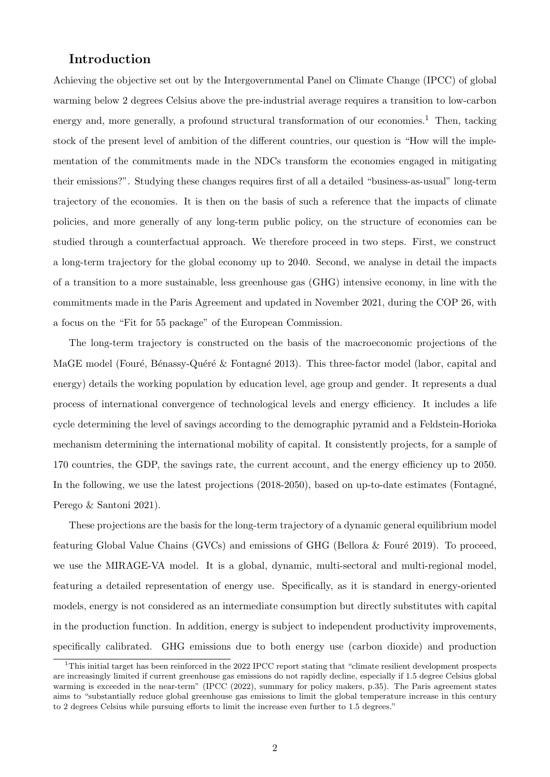## Introduction

Achieving the objective set out by the Intergovernmental Panel on Climate Change (IPCC) of global warming below 2 degrees Celsius above the pre-industrial average requires a transition to low-carbon energy and, more generally, a profound structural transformation of our economies.<sup>[1](#page-1-0)</sup> Then, tacking stock of the present level of ambition of the different countries, our question is "How will the implementation of the commitments made in the NDCs transform the economies engaged in mitigating their emissions?". Studying these changes requires first of all a detailed "business-as-usual" long-term trajectory of the economies. It is then on the basis of such a reference that the impacts of climate policies, and more generally of any long-term public policy, on the structure of economies can be studied through a counterfactual approach. We therefore proceed in two steps. First, we construct a long-term trajectory for the global economy up to 2040. Second, we analyse in detail the impacts of a transition to a more sustainable, less greenhouse gas (GHG) intensive economy, in line with the commitments made in the Paris Agreement and updated in November 2021, during the COP 26, with a focus on the "Fit for 55 package" of the European Commission.

The long-term trajectory is constructed on the basis of the macroeconomic projections of the MaGE model (Fouré, Bénassy-Quéré & Fontagné [2013\)](#page-21-0). This three-factor model (labor, capital and energy) details the working population by education level, age group and gender. It represents a dual process of international convergence of technological levels and energy efficiency. It includes a life cycle determining the level of savings according to the demographic pyramid and a Feldstein-Horioka mechanism determining the international mobility of capital. It consistently projects, for a sample of 170 countries, the GDP, the savings rate, the current account, and the energy efficiency up to 2050. In the following, we use the latest projections (2018-2050), based on up-to-date estimates (Fontagné, [Perego & Santoni](#page-21-1) [2021\)](#page-21-1).

These projections are the basis for the long-term trajectory of a dynamic general equilibrium model featuring Global Value Chains (GVCs) and emissions of GHG (Bellora  $\&$  Fouré [2019\)](#page-21-2). To proceed, we use the MIRAGE-VA model. It is a global, dynamic, multi-sectoral and multi-regional model, featuring a detailed representation of energy use. Specifically, as it is standard in energy-oriented models, energy is not considered as an intermediate consumption but directly substitutes with capital in the production function. In addition, energy is subject to independent productivity improvements, specifically calibrated. GHG emissions due to both energy use (carbon dioxide) and production

<span id="page-1-0"></span><sup>1</sup>This initial target has been reinforced in the 2022 IPCC report stating that "climate resilient development prospects are increasingly limited if current greenhouse gas emissions do not rapidly decline, especially if 1.5 degree Celsius global warming is exceeded in the near-term" [\(IPCC](#page-22-0) [\(2022\)](#page-22-0), summary for policy makers, p.35). The Paris agreement states aims to "substantially reduce global greenhouse gas emissions to limit the global temperature increase in this century to 2 degrees Celsius while pursuing efforts to limit the increase even further to 1.5 degrees."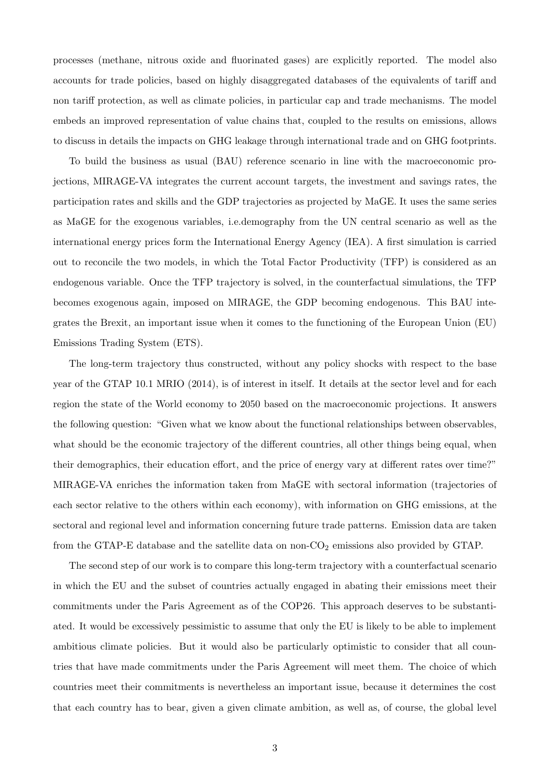processes (methane, nitrous oxide and fluorinated gases) are explicitly reported. The model also accounts for trade policies, based on highly disaggregated databases of the equivalents of tariff and non tariff protection, as well as climate policies, in particular cap and trade mechanisms. The model embeds an improved representation of value chains that, coupled to the results on emissions, allows to discuss in details the impacts on GHG leakage through international trade and on GHG footprints.

To build the business as usual (BAU) reference scenario in line with the macroeconomic projections, MIRAGE-VA integrates the current account targets, the investment and savings rates, the participation rates and skills and the GDP trajectories as projected by MaGE. It uses the same series as MaGE for the exogenous variables, i.e.demography from the UN central scenario as well as the international energy prices form the International Energy Agency (IEA). A first simulation is carried out to reconcile the two models, in which the Total Factor Productivity (TFP) is considered as an endogenous variable. Once the TFP trajectory is solved, in the counterfactual simulations, the TFP becomes exogenous again, imposed on MIRAGE, the GDP becoming endogenous. This BAU integrates the Brexit, an important issue when it comes to the functioning of the European Union (EU) Emissions Trading System (ETS).

The long-term trajectory thus constructed, without any policy shocks with respect to the base year of the GTAP 10.1 MRIO (2014), is of interest in itself. It details at the sector level and for each region the state of the World economy to 2050 based on the macroeconomic projections. It answers the following question: "Given what we know about the functional relationships between observables, what should be the economic trajectory of the different countries, all other things being equal, when their demographics, their education effort, and the price of energy vary at different rates over time?" MIRAGE-VA enriches the information taken from MaGE with sectoral information (trajectories of each sector relative to the others within each economy), with information on GHG emissions, at the sectoral and regional level and information concerning future trade patterns. Emission data are taken from the GTAP-E database and the satellite data on non- $CO<sub>2</sub>$  emissions also provided by GTAP.

The second step of our work is to compare this long-term trajectory with a counterfactual scenario in which the EU and the subset of countries actually engaged in abating their emissions meet their commitments under the Paris Agreement as of the COP26. This approach deserves to be substantiated. It would be excessively pessimistic to assume that only the EU is likely to be able to implement ambitious climate policies. But it would also be particularly optimistic to consider that all countries that have made commitments under the Paris Agreement will meet them. The choice of which countries meet their commitments is nevertheless an important issue, because it determines the cost that each country has to bear, given a given climate ambition, as well as, of course, the global level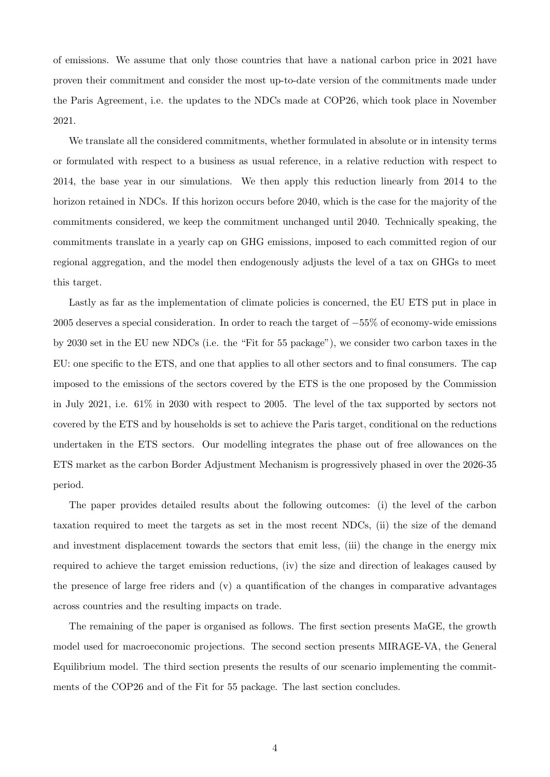of emissions. We assume that only those countries that have a national carbon price in 2021 have proven their commitment and consider the most up-to-date version of the commitments made under the Paris Agreement, i.e. the updates to the NDCs made at COP26, which took place in November 2021.

We translate all the considered commitments, whether formulated in absolute or in intensity terms or formulated with respect to a business as usual reference, in a relative reduction with respect to 2014, the base year in our simulations. We then apply this reduction linearly from 2014 to the horizon retained in NDCs. If this horizon occurs before 2040, which is the case for the majority of the commitments considered, we keep the commitment unchanged until 2040. Technically speaking, the commitments translate in a yearly cap on GHG emissions, imposed to each committed region of our regional aggregation, and the model then endogenously adjusts the level of a tax on GHGs to meet this target.

Lastly as far as the implementation of climate policies is concerned, the EU ETS put in place in 2005 deserves a special consideration. In order to reach the target of −55% of economy-wide emissions by 2030 set in the EU new NDCs (i.e. the "Fit for 55 package"), we consider two carbon taxes in the EU: one specific to the ETS, and one that applies to all other sectors and to final consumers. The cap imposed to the emissions of the sectors covered by the ETS is the one proposed by the Commission in July 2021, i.e. 61% in 2030 with respect to 2005. The level of the tax supported by sectors not covered by the ETS and by households is set to achieve the Paris target, conditional on the reductions undertaken in the ETS sectors. Our modelling integrates the phase out of free allowances on the ETS market as the carbon Border Adjustment Mechanism is progressively phased in over the 2026-35 period.

The paper provides detailed results about the following outcomes: (i) the level of the carbon taxation required to meet the targets as set in the most recent NDCs, (ii) the size of the demand and investment displacement towards the sectors that emit less, (iii) the change in the energy mix required to achieve the target emission reductions, (iv) the size and direction of leakages caused by the presence of large free riders and (v) a quantification of the changes in comparative advantages across countries and the resulting impacts on trade.

The remaining of the paper is organised as follows. The first section presents MaGE, the growth model used for macroeconomic projections. The second section presents MIRAGE-VA, the General Equilibrium model. The third section presents the results of our scenario implementing the commitments of the COP26 and of the Fit for 55 package. The last section concludes.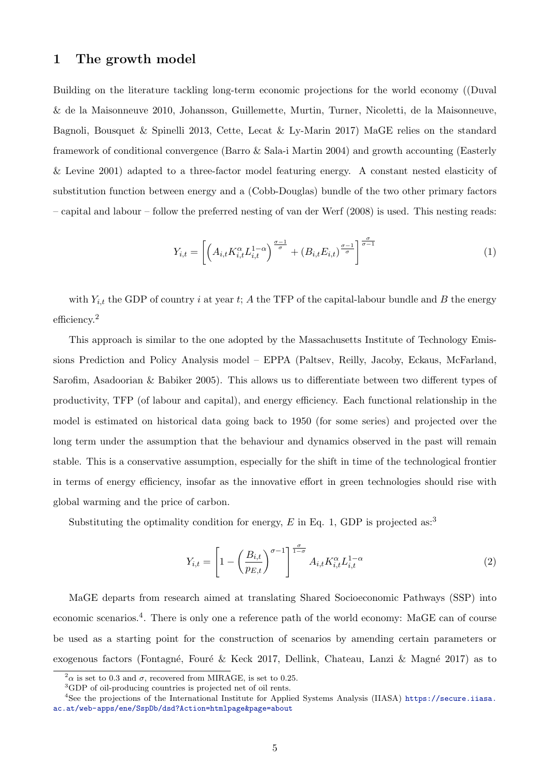## <span id="page-4-5"></span>1 The growth model

Building on the literature tackling long-term economic projections for the world economy ([\(Duval](#page-21-3) [& de la Maisonneuve](#page-21-3) [2010,](#page-21-3) [Johansson, Guillemette, Murtin, Turner, Nicoletti, de la Maisonneuve,](#page-22-1) [Bagnoli, Bousquet & Spinelli](#page-22-1) [2013,](#page-22-1) [Cette, Lecat & Ly-Marin](#page-21-4) [2017\)](#page-21-4) MaGE relies on the standard framework of conditional convergence [\(Barro & Sala-i Martin](#page-21-5) [2004\)](#page-21-5) and growth accounting [\(Easterly](#page-21-6) [& Levine](#page-21-6) [2001\)](#page-21-6) adapted to a three-factor model featuring energy. A constant nested elasticity of substitution function between energy and a (Cobb-Douglas) bundle of the two other primary factors – capital and labour – follow the preferred nesting of [van der Werf](#page-22-2) [\(2008\)](#page-22-2) is used. This nesting reads:

<span id="page-4-1"></span>
$$
Y_{i,t} = \left[ \left( A_{i,t} K_{i,t}^{\alpha} L_{i,t}^{1-\alpha} \right)^{\frac{\sigma-1}{\sigma}} + \left( B_{i,t} E_{i,t} \right)^{\frac{\sigma-1}{\sigma}} \right]^{\frac{\sigma}{\sigma-1}}
$$
(1)

with  $Y_{i,t}$  the GDP of country i at year t; A the TFP of the capital-labour bundle and B the energy efficiency.[2](#page-4-0)

This approach is similar to the one adopted by the Massachusetts Institute of Technology Emissions Prediction and Policy Analysis model – EPPA [\(Paltsev, Reilly, Jacoby, Eckaus, McFarland,](#page-22-3) [Sarofim, Asadoorian & Babiker](#page-22-3) [2005\)](#page-22-3). This allows us to differentiate between two different types of productivity, TFP (of labour and capital), and energy efficiency. Each functional relationship in the model is estimated on historical data going back to 1950 (for some series) and projected over the long term under the assumption that the behaviour and dynamics observed in the past will remain stable. This is a conservative assumption, especially for the shift in time of the technological frontier in terms of energy efficiency, insofar as the innovative effort in green technologies should rise with global warming and the price of carbon.

Substituting the optimality condition for energy,  $E$  in Eq. [1,](#page-4-1) GDP is projected as:<sup>[3](#page-4-2)</sup>

<span id="page-4-4"></span>
$$
Y_{i,t} = \left[1 - \left(\frac{B_{i,t}}{p_{E,t}}\right)^{\sigma-1}\right]^{\frac{\sigma}{1-\sigma}} A_{i,t} K_{i,t}^{\alpha} L_{i,t}^{1-\alpha}
$$
\n
$$
(2)
$$

MaGE departs from research aimed at translating Shared Socioeconomic Pathways (SSP) into economic scenarios.<sup>[4](#page-4-3)</sup>. There is only one a reference path of the world economy: MaGE can of course be used as a starting point for the construction of scenarios by amending certain parameters or exogenous factors (Fontagné, Fouré & Keck [2017,](#page-21-7) Dellink, Chateau, Lanzi & Magné [2017\)](#page-21-8) as to

<span id="page-4-0"></span> $^{2}\alpha$  is set to 0.3 and  $\sigma$ , recovered from MIRAGE, is set to 0.25.

<span id="page-4-3"></span><span id="page-4-2"></span><sup>3</sup>GDP of oil-producing countries is projected net of oil rents.

<sup>&</sup>lt;sup>4</sup>See the projections of the International Institute for Applied Systems Analysis (IIASA) [https://secure.iiasa.](https://secure.iiasa.ac.at/web-apps/ene/SspDb/dsd?Action=htmlpage&page=about) [ac.at/web-apps/ene/SspDb/dsd?Action=htmlpage&page=about](https://secure.iiasa.ac.at/web-apps/ene/SspDb/dsd?Action=htmlpage&page=about)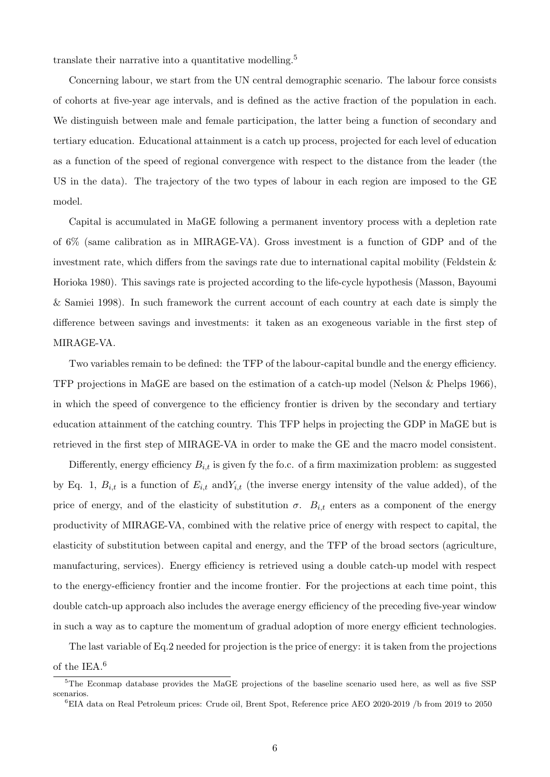translate their narrative into a quantitative modelling.[5](#page-5-0)

Concerning labour, we start from the UN central demographic scenario. The labour force consists of cohorts at five-year age intervals, and is defined as the active fraction of the population in each. We distinguish between male and female participation, the latter being a function of secondary and tertiary education. Educational attainment is a catch up process, projected for each level of education as a function of the speed of regional convergence with respect to the distance from the leader (the US in the data). The trajectory of the two types of labour in each region are imposed to the GE model.

Capital is accumulated in MaGE following a permanent inventory process with a depletion rate of 6% (same calibration as in MIRAGE-VA). Gross investment is a function of GDP and of the investment rate, which differs from the savings rate due to international capital mobility [\(Feldstein &](#page-21-9) [Horioka](#page-21-9) [1980\)](#page-21-9). This savings rate is projected according to the life-cycle hypothesis [\(Masson, Bayoumi](#page-22-4) [& Samiei](#page-22-4) [1998\)](#page-22-4). In such framework the current account of each country at each date is simply the difference between savings and investments: it taken as an exogeneous variable in the first step of MIRAGE-VA.

Two variables remain to be defined: the TFP of the labour-capital bundle and the energy efficiency. TFP projections in MaGE are based on the estimation of a catch-up model [\(Nelson & Phelps](#page-22-5) [1966\)](#page-22-5), in which the speed of convergence to the efficiency frontier is driven by the secondary and tertiary education attainment of the catching country. This TFP helps in projecting the GDP in MaGE but is retrieved in the first step of MIRAGE-VA in order to make the GE and the macro model consistent.

Differently, energy efficiency  $B_{i,t}$  is given fy the fo.c. of a firm maximization problem: as suggested by Eq. [1,](#page-4-1)  $B_{i,t}$  is a function of  $E_{i,t}$  and  $Y_{i,t}$  (the inverse energy intensity of the value added), of the price of energy, and of the elasticity of substitution  $\sigma$ .  $B_{i,t}$  enters as a component of the energy productivity of MIRAGE-VA, combined with the relative price of energy with respect to capital, the elasticity of substitution between capital and energy, and the TFP of the broad sectors (agriculture, manufacturing, services). Energy efficiency is retrieved using a double catch-up model with respect to the energy-efficiency frontier and the income frontier. For the projections at each time point, this double catch-up approach also includes the average energy efficiency of the preceding five-year window in such a way as to capture the momentum of gradual adoption of more energy efficient technologies.

The last variable of Eq[.2](#page-4-4) needed for projection is the price of energy: it is taken from the projections

of the IEA.[6](#page-5-1)

<span id="page-5-0"></span><sup>5</sup>The Econmap database provides the MaGE projections of the baseline scenario used here, as well as five SSP scenarios.

<span id="page-5-1"></span><sup>6</sup>EIA data on Real Petroleum prices: Crude oil, Brent Spot, Reference price AEO 2020-2019 /b from 2019 to 2050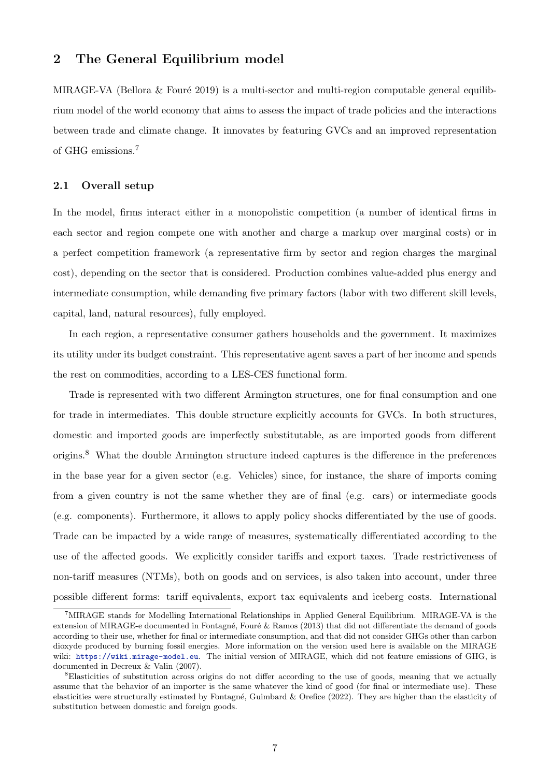#### 2 The General Equilibrium model

MIRAGE-VA (Bellora  $&$  Fouré [2019\)](#page-21-2) is a multi-sector and multi-region computable general equilibrium model of the world economy that aims to assess the impact of trade policies and the interactions between trade and climate change. It innovates by featuring GVCs and an improved representation of GHG emissions.[7](#page-6-0)

#### 2.1 Overall setup

In the model, firms interact either in a monopolistic competition (a number of identical firms in each sector and region compete one with another and charge a markup over marginal costs) or in a perfect competition framework (a representative firm by sector and region charges the marginal cost), depending on the sector that is considered. Production combines value-added plus energy and intermediate consumption, while demanding five primary factors (labor with two different skill levels, capital, land, natural resources), fully employed.

In each region, a representative consumer gathers households and the government. It maximizes its utility under its budget constraint. This representative agent saves a part of her income and spends the rest on commodities, according to a LES-CES functional form.

Trade is represented with two different Armington structures, one for final consumption and one for trade in intermediates. This double structure explicitly accounts for GVCs. In both structures, domestic and imported goods are imperfectly substitutable, as are imported goods from different origins.<sup>[8](#page-6-1)</sup> What the double Armington structure indeed captures is the difference in the preferences in the base year for a given sector (e.g. Vehicles) since, for instance, the share of imports coming from a given country is not the same whether they are of final (e.g. cars) or intermediate goods (e.g. components). Furthermore, it allows to apply policy shocks differentiated by the use of goods. Trade can be impacted by a wide range of measures, systematically differentiated according to the use of the affected goods. We explicitly consider tariffs and export taxes. Trade restrictiveness of non-tariff measures (NTMs), both on goods and on services, is also taken into account, under three possible different forms: tariff equivalents, export tax equivalents and iceberg costs. International

<span id="page-6-0"></span><sup>7</sup>MIRAGE stands for Modelling International Relationships in Applied General Equilibrium. MIRAGE-VA is the extension of MIRAGE-e documented in Fontagné, Fouré & Ramos [\(2013\)](#page-21-10) that did not differentiate the demand of goods according to their use, whether for final or intermediate consumption, and that did not consider GHGs other than carbon dioxyde produced by burning fossil energies. More information on the version used here is available on the MIRAGE wiki: <https://wiki.mirage-model.eu>. The initial version of MIRAGE, which did not feature emissions of GHG, is documented in [Decreux & Valin](#page-21-11) [\(2007\)](#page-21-11).

<span id="page-6-1"></span><sup>8</sup>Elasticities of substitution across origins do not differ according to the use of goods, meaning that we actually assume that the behavior of an importer is the same whatever the kind of good (for final or intermediate use). These elasticities were structurally estimated by Fontagné, Guimbard & Orefice [\(2022\)](#page-21-12). They are higher than the elasticity of substitution between domestic and foreign goods.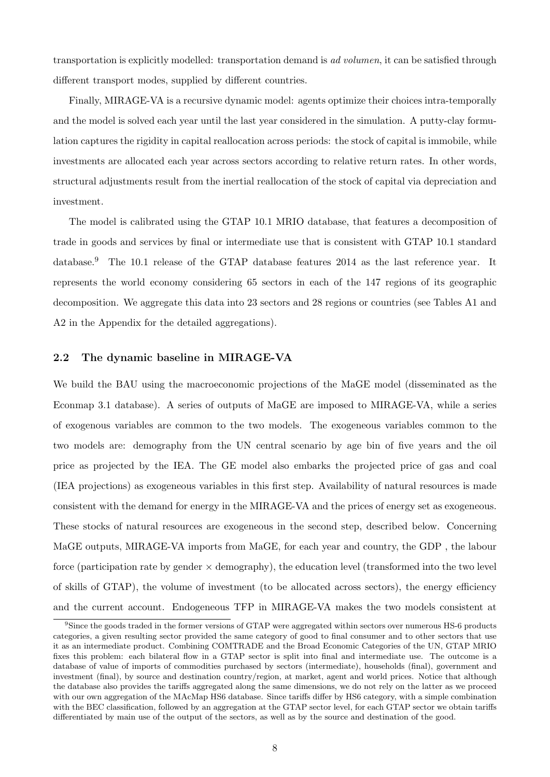transportation is explicitly modelled: transportation demand is ad volumen, it can be satisfied through different transport modes, supplied by different countries.

Finally, MIRAGE-VA is a recursive dynamic model: agents optimize their choices intra-temporally and the model is solved each year until the last year considered in the simulation. A putty-clay formulation captures the rigidity in capital reallocation across periods: the stock of capital is immobile, while investments are allocated each year across sectors according to relative return rates. In other words, structural adjustments result from the inertial reallocation of the stock of capital via depreciation and investment.

The model is calibrated using the GTAP 10.1 MRIO database, that features a decomposition of trade in goods and services by final or intermediate use that is consistent with GTAP 10.1 standard database.<sup>[9](#page-7-0)</sup> The 10.1 release of the GTAP database features 2014 as the last reference year. It represents the world economy considering 65 sectors in each of the 147 regions of its geographic decomposition. We aggregate this data into 23 sectors and 28 regions or countries (see Tables [A1](#page-23-0) and [A2](#page-24-0) in the Appendix for the detailed aggregations).

#### 2.2 The dynamic baseline in MIRAGE-VA

We build the BAU using the macroeconomic projections of the MaGE model (disseminated as the Econmap 3.1 database). A series of outputs of MaGE are imposed to MIRAGE-VA, while a series of exogenous variables are common to the two models. The exogeneous variables common to the two models are: demography from the UN central scenario by age bin of five years and the oil price as projected by the IEA. The GE model also embarks the projected price of gas and coal (IEA projections) as exogeneous variables in this first step. Availability of natural resources is made consistent with the demand for energy in the MIRAGE-VA and the prices of energy set as exogeneous. These stocks of natural resources are exogeneous in the second step, described below. Concerning MaGE outputs, MIRAGE-VA imports from MaGE, for each year and country, the GDP , the labour force (participation rate by gender  $\times$  demography), the education level (transformed into the two level of skills of GTAP), the volume of investment (to be allocated across sectors), the energy efficiency and the current account. Endogeneous TFP in MIRAGE-VA makes the two models consistent at

<span id="page-7-0"></span><sup>&</sup>lt;sup>9</sup>Since the goods traded in the former versions of GTAP were aggregated within sectors over numerous HS-6 products categories, a given resulting sector provided the same category of good to final consumer and to other sectors that use it as an intermediate product. Combining COMTRADE and the Broad Economic Categories of the UN, GTAP MRIO fixes this problem: each bilateral flow in a GTAP sector is split into final and intermediate use. The outcome is a database of value of imports of commodities purchased by sectors (intermediate), households (final), government and investment (final), by source and destination country/region, at market, agent and world prices. Notice that although the database also provides the tariffs aggregated along the same dimensions, we do not rely on the latter as we proceed with our own aggregation of the MAcMap HS6 database. Since tariffs differ by HS6 category, with a simple combination with the BEC classification, followed by an aggregation at the GTAP sector level, for each GTAP sector we obtain tariffs differentiated by main use of the output of the sectors, as well as by the source and destination of the good.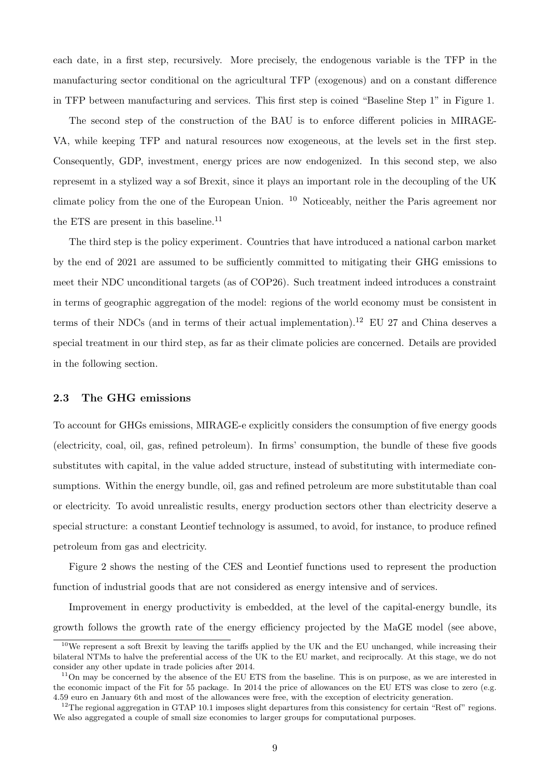each date, in a first step, recursively. More precisely, the endogenous variable is the TFP in the manufacturing sector conditional on the agricultural TFP (exogenous) and on a constant difference in TFP between manufacturing and services. This first step is coined "Baseline Step 1" in Figure [1.](#page-9-0)

The second step of the construction of the BAU is to enforce different policies in MIRAGE-VA, while keeping TFP and natural resources now exogeneous, at the levels set in the first step. Consequently, GDP, investment, energy prices are now endogenized. In this second step, we also represemt in a stylized way a sof Brexit, since it plays an important role in the decoupling of the UK climate policy from the one of the European Union. [10](#page-8-0) Noticeably, neither the Paris agreement nor the ETS are present in this baseline.<sup>[11](#page-8-1)</sup>

The third step is the policy experiment. Countries that have introduced a national carbon market by the end of 2021 are assumed to be sufficiently committed to mitigating their GHG emissions to meet their NDC unconditional targets (as of COP26). Such treatment indeed introduces a constraint in terms of geographic aggregation of the model: regions of the world economy must be consistent in terms of their NDCs (and in terms of their actual implementation).<sup>[12](#page-8-2)</sup> EU 27 and China deserves a special treatment in our third step, as far as their climate policies are concerned. Details are provided in the following section.

#### 2.3 The GHG emissions

To account for GHGs emissions, MIRAGE-e explicitly considers the consumption of five energy goods (electricity, coal, oil, gas, refined petroleum). In firms' consumption, the bundle of these five goods substitutes with capital, in the value added structure, instead of substituting with intermediate consumptions. Within the energy bundle, oil, gas and refined petroleum are more substitutable than coal or electricity. To avoid unrealistic results, energy production sectors other than electricity deserve a special structure: a constant Leontief technology is assumed, to avoid, for instance, to produce refined petroleum from gas and electricity.

Figure [2](#page-10-0) shows the nesting of the CES and Leontief functions used to represent the production function of industrial goods that are not considered as energy intensive and of services.

Improvement in energy productivity is embedded, at the level of the capital-energy bundle, its growth follows the growth rate of the energy efficiency projected by the MaGE model (see above,

<span id="page-8-0"></span> $10$ We represent a soft Brexit by leaving the tariffs applied by the UK and the EU unchanged, while increasing their bilateral NTMs to halve the preferential access of the UK to the EU market, and reciprocally. At this stage, we do not consider any other update in trade policies after 2014.

<span id="page-8-1"></span> $11$ On may be concerned by the absence of the EU ETS from the baseline. This is on purpose, as we are interested in the economic impact of the Fit for 55 package. In 2014 the price of allowances on the EU ETS was close to zero (e.g. 4.59 euro en January 6th and most of the allowances were free, with the exception of electricity generation.

<span id="page-8-2"></span> $12$ The regional aggregation in GTAP 10.1 imposes slight departures from this consistency for certain "Rest of" regions. We also aggregated a couple of small size economies to larger groups for computational purposes.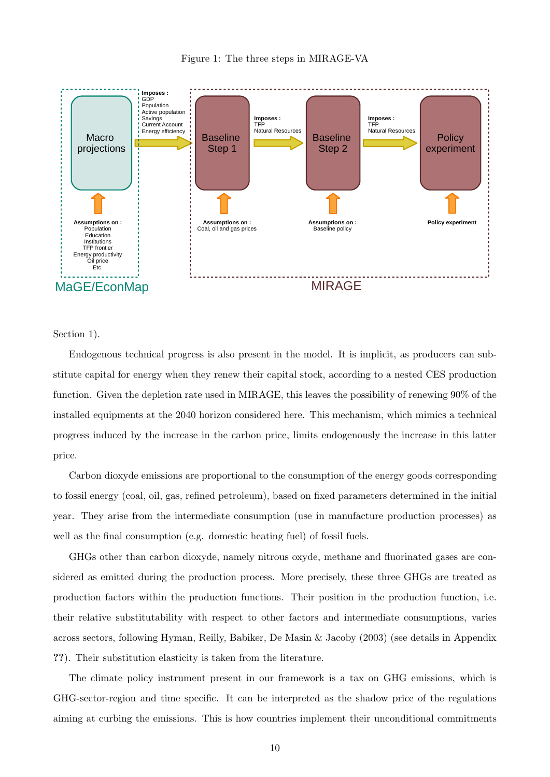

<span id="page-9-0"></span>

Section [1\)](#page-4-5).

Endogenous technical progress is also present in the model. It is implicit, as producers can substitute capital for energy when they renew their capital stock, according to a nested CES production function. Given the depletion rate used in MIRAGE, this leaves the possibility of renewing 90% of the installed equipments at the 2040 horizon considered here. This mechanism, which mimics a technical progress induced by the increase in the carbon price, limits endogenously the increase in this latter price.

Carbon dioxyde emissions are proportional to the consumption of the energy goods corresponding to fossil energy (coal, oil, gas, refined petroleum), based on fixed parameters determined in the initial year. They arise from the intermediate consumption (use in manufacture production processes) as well as the final consumption (e.g. domestic heating fuel) of fossil fuels.

GHGs other than carbon dioxyde, namely nitrous oxyde, methane and fluorinated gases are considered as emitted during the production process. More precisely, these three GHGs are treated as production factors within the production functions. Their position in the production function, i.e. their relative substitutability with respect to other factors and intermediate consumptions, varies across sectors, following [Hyman, Reilly, Babiker, De Masin & Jacoby](#page-22-6) [\(2003\)](#page-22-6) (see details in Appendix ??). Their substitution elasticity is taken from the literature.

The climate policy instrument present in our framework is a tax on GHG emissions, which is GHG-sector-region and time specific. It can be interpreted as the shadow price of the regulations aiming at curbing the emissions. This is how countries implement their unconditional commitments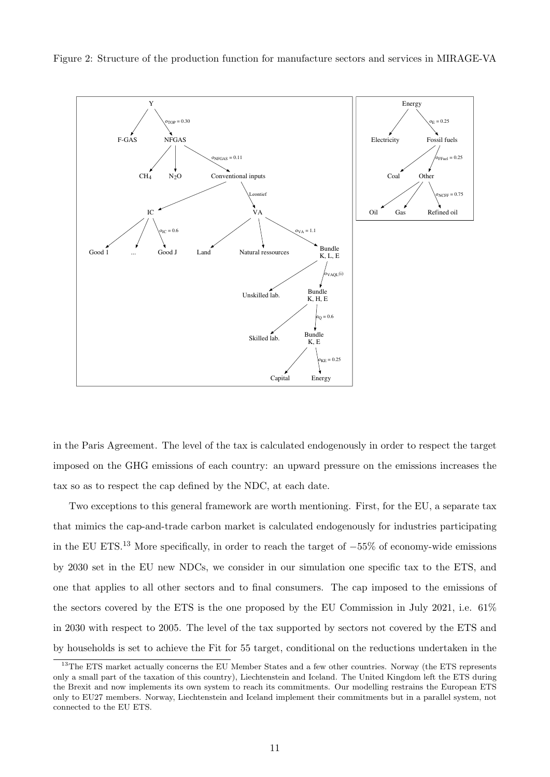

<span id="page-10-0"></span>Figure 2: Structure of the production function for manufacture sectors and services in MIRAGE-VA

in the Paris Agreement. The level of the tax is calculated endogenously in order to respect the target imposed on the GHG emissions of each country: an upward pressure on the emissions increases the tax so as to respect the cap defined by the NDC, at each date.

Two exceptions to this general framework are worth mentioning. First, for the EU, a separate tax that mimics the cap-and-trade carbon market is calculated endogenously for industries participating in the EU ETS.<sup>[13](#page-10-1)</sup> More specifically, in order to reach the target of  $-55\%$  of economy-wide emissions by 2030 set in the EU new NDCs, we consider in our simulation one specific tax to the ETS, and one that applies to all other sectors and to final consumers. The cap imposed to the emissions of the sectors covered by the ETS is the one proposed by the EU Commission in July 2021, i.e. 61% in 2030 with respect to 2005. The level of the tax supported by sectors not covered by the ETS and by households is set to achieve the Fit for 55 target, conditional on the reductions undertaken in the

<span id="page-10-1"></span><sup>&</sup>lt;sup>13</sup>The ETS market actually concerns the EU Member States and a few other countries. Norway (the ETS represents only a small part of the taxation of this country), Liechtenstein and Iceland. The United Kingdom left the ETS during the Brexit and now implements its own system to reach its commitments. Our modelling restrains the European ETS only to EU27 members. Norway, Liechtenstein and Iceland implement their commitments but in a parallel system, not connected to the EU ETS.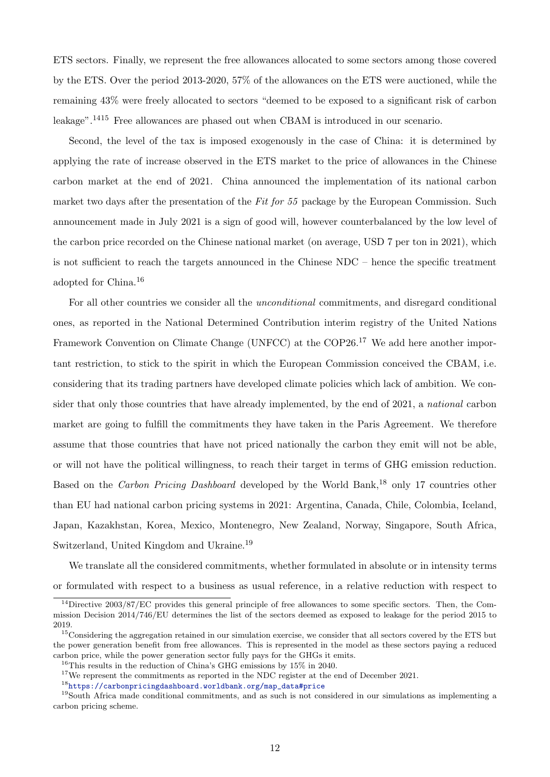ETS sectors. Finally, we represent the free allowances allocated to some sectors among those covered by the ETS. Over the period 2013-2020, 57% of the allowances on the ETS were auctioned, while the remaining 43% were freely allocated to sectors "deemed to be exposed to a significant risk of carbon leakage".[14](#page-11-0)[15](#page-11-1) Free allowances are phased out when CBAM is introduced in our scenario.

Second, the level of the tax is imposed exogenously in the case of China: it is determined by applying the rate of increase observed in the ETS market to the price of allowances in the Chinese carbon market at the end of 2021. China announced the implementation of its national carbon market two days after the presentation of the Fit for  $55$  package by the European Commission. Such announcement made in July 2021 is a sign of good will, however counterbalanced by the low level of the carbon price recorded on the Chinese national market (on average, USD 7 per ton in 2021), which is not sufficient to reach the targets announced in the Chinese NDC – hence the specific treatment adopted for China.[16](#page-11-2)

For all other countries we consider all the unconditional commitments, and disregard conditional ones, as reported in the National Determined Contribution interim registry of the United Nations Framework Convention on Climate Change (UNFCC) at the COP26.<sup>[17](#page-11-3)</sup> We add here another important restriction, to stick to the spirit in which the European Commission conceived the CBAM, i.e. considering that its trading partners have developed climate policies which lack of ambition. We consider that only those countries that have already implemented, by the end of 2021, a national carbon market are going to fulfill the commitments they have taken in the Paris Agreement. We therefore assume that those countries that have not priced nationally the carbon they emit will not be able, or will not have the political willingness, to reach their target in terms of GHG emission reduction. Based on the Carbon Pricing Dashboard developed by the World Bank,<sup>[18](#page-11-4)</sup> only 17 countries other than EU had national carbon pricing systems in 2021: Argentina, Canada, Chile, Colombia, Iceland, Japan, Kazakhstan, Korea, Mexico, Montenegro, New Zealand, Norway, Singapore, South Africa, Switzerland, United Kingdom and Ukraine.<sup>[19](#page-11-5)</sup>

We translate all the considered commitments, whether formulated in absolute or in intensity terms or formulated with respect to a business as usual reference, in a relative reduction with respect to

<span id="page-11-0"></span><sup>&</sup>lt;sup>14</sup>Directive 2003/87/EC provides this general principle of free allowances to some specific sectors. Then, the Commission Decision 2014/746/EU determines the list of the sectors deemed as exposed to leakage for the period 2015 to 2019.

<span id="page-11-1"></span><sup>&</sup>lt;sup>15</sup>Considering the aggregation retained in our simulation exercise, we consider that all sectors covered by the ETS but the power generation benefit from free allowances. This is represented in the model as these sectors paying a reduced carbon price, while the power generation sector fully pays for the GHGs it emits.

<span id="page-11-2"></span><sup>&</sup>lt;sup>16</sup>This results in the reduction of China's GHG emissions by  $15\%$  in 2040.

<span id="page-11-3"></span><sup>&</sup>lt;sup>17</sup>We represent the commitments as reported in the NDC register at the end of December 2021.

<span id="page-11-5"></span><span id="page-11-4"></span><sup>18</sup>[https://carbonpricingdashboard.worldbank.org/map\\_data#price](https://carbonpricingdashboard.worldbank.org/map_data#price)

<sup>&</sup>lt;sup>19</sup>South Africa made conditional commitments, and as such is not considered in our simulations as implementing a carbon pricing scheme.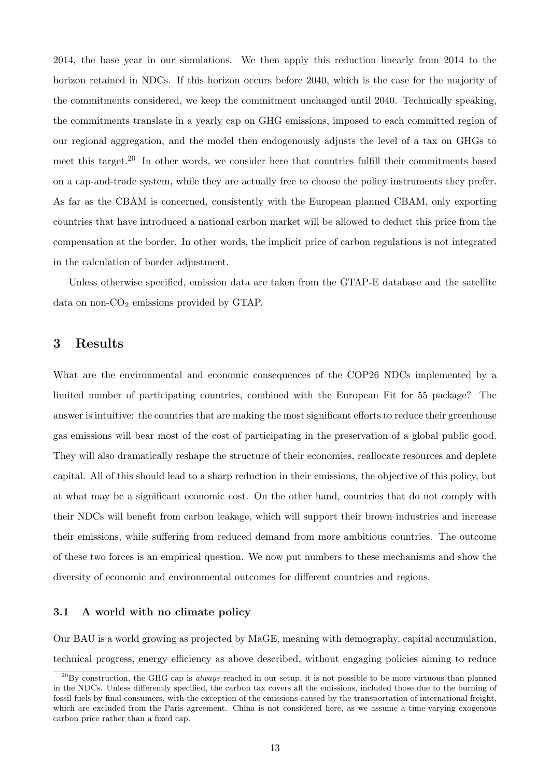2014, the base year in our simulations. We then apply this reduction linearly from 2014 to the horizon retained in NDCs. If this horizon occurs before 2040, which is the case for the majority of the commitments considered, we keep the commitment unchanged until 2040. Technically speaking, the commitments translate in a yearly cap on GHG emissions, imposed to each committed region of our regional aggregation, and the model then endogenously adjusts the level of a tax on GHGs to meet this target.<sup>[20](#page-12-0)</sup> In other words, we consider here that countries fulfill their commitments based on a cap-and-trade system, while they are actually free to choose the policy instruments they prefer. As far as the CBAM is concerned, consistently with the European planned CBAM, only exporting countries that have introduced a national carbon market will be allowed to deduct this price from the compensation at the border. In other words, the implicit price of carbon regulations is not integrated in the calculation of border adjustment.

Unless otherwise specified, emission data are taken from the GTAP-E database and the satellite data on non- $CO<sub>2</sub>$  emissions provided by GTAP.

#### 3 Results

What are the environmental and economic consequences of the COP26 NDCs implemented by a limited number of participating countries, combined with the European Fit for 55 package? The answer is intuitive: the countries that are making the most significant efforts to reduce their greenhouse gas emissions will bear most of the cost of participating in the preservation of a global public good. They will also dramatically reshape the structure of their economies, reallocate resources and deplete capital. All of this should lead to a sharp reduction in their emissions, the objective of this policy, but at what may be a significant economic cost. On the other hand, countries that do not comply with their NDCs will benefit from carbon leakage, which will support their brown industries and increase their emissions, while suffering from reduced demand from more ambitious countries. The outcome of these two forces is an empirical question. We now put numbers to these mechanisms and show the diversity of economic and environmental outcomes for different countries and regions.

#### 3.1 A world with no climate policy

Our BAU is a world growing as projected by MaGE, meaning with demography, capital accumulation, technical progress, energy efficiency as above described, without engaging policies aiming to reduce

<span id="page-12-0"></span> $^{20}$ By construction, the GHG cap is *always* reached in our setup, it is not possible to be more virtuous than planned in the NDCs. Unless differently specified, the carbon tax covers all the emissions, included those due to the burning of fossil fuels by final consumers, with the exception of the emissions caused by the transportation of international freight, which are excluded from the Paris agreement. China is not considered here, as we assume a time-varying exogenous carbon price rather than a fixed cap.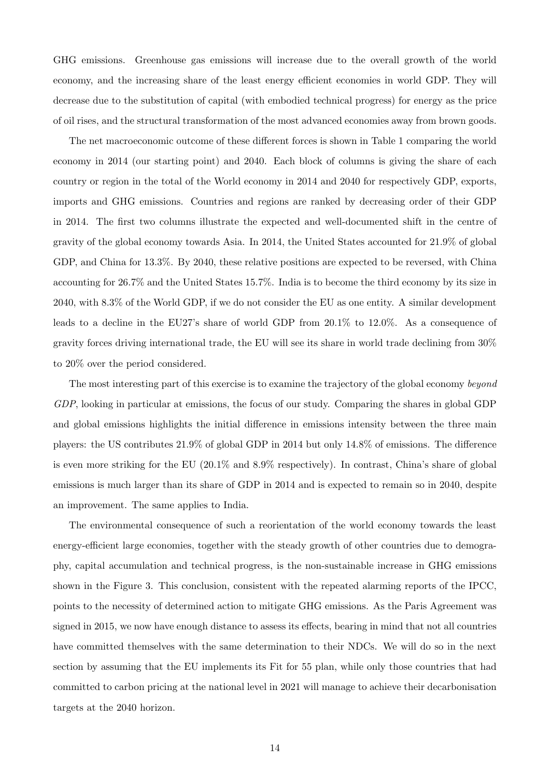GHG emissions. Greenhouse gas emissions will increase due to the overall growth of the world economy, and the increasing share of the least energy efficient economies in world GDP. They will decrease due to the substitution of capital (with embodied technical progress) for energy as the price of oil rises, and the structural transformation of the most advanced economies away from brown goods.

The net macroeconomic outcome of these different forces is shown in Table [1](#page-14-0) comparing the world economy in 2014 (our starting point) and 2040. Each block of columns is giving the share of each country or region in the total of the World economy in 2014 and 2040 for respectively GDP, exports, imports and GHG emissions. Countries and regions are ranked by decreasing order of their GDP in 2014. The first two columns illustrate the expected and well-documented shift in the centre of gravity of the global economy towards Asia. In 2014, the United States accounted for 21.9% of global GDP, and China for 13.3%. By 2040, these relative positions are expected to be reversed, with China accounting for 26.7% and the United States 15.7%. India is to become the third economy by its size in 2040, with 8.3% of the World GDP, if we do not consider the EU as one entity. A similar development leads to a decline in the EU27's share of world GDP from 20.1% to 12.0%. As a consequence of gravity forces driving international trade, the EU will see its share in world trade declining from 30% to 20% over the period considered.

The most interesting part of this exercise is to examine the trajectory of the global economy beyond GDP, looking in particular at emissions, the focus of our study. Comparing the shares in global GDP and global emissions highlights the initial difference in emissions intensity between the three main players: the US contributes 21.9% of global GDP in 2014 but only 14.8% of emissions. The difference is even more striking for the EU (20.1% and 8.9% respectively). In contrast, China's share of global emissions is much larger than its share of GDP in 2014 and is expected to remain so in 2040, despite an improvement. The same applies to India.

The environmental consequence of such a reorientation of the world economy towards the least energy-efficient large economies, together with the steady growth of other countries due to demography, capital accumulation and technical progress, is the non-sustainable increase in GHG emissions shown in the Figure [3.](#page-15-0) This conclusion, consistent with the repeated alarming reports of the IPCC, points to the necessity of determined action to mitigate GHG emissions. As the Paris Agreement was signed in 2015, we now have enough distance to assess its effects, bearing in mind that not all countries have committed themselves with the same determination to their NDCs. We will do so in the next section by assuming that the EU implements its Fit for 55 plan, while only those countries that had committed to carbon pricing at the national level in 2021 will manage to achieve their decarbonisation targets at the 2040 horizon.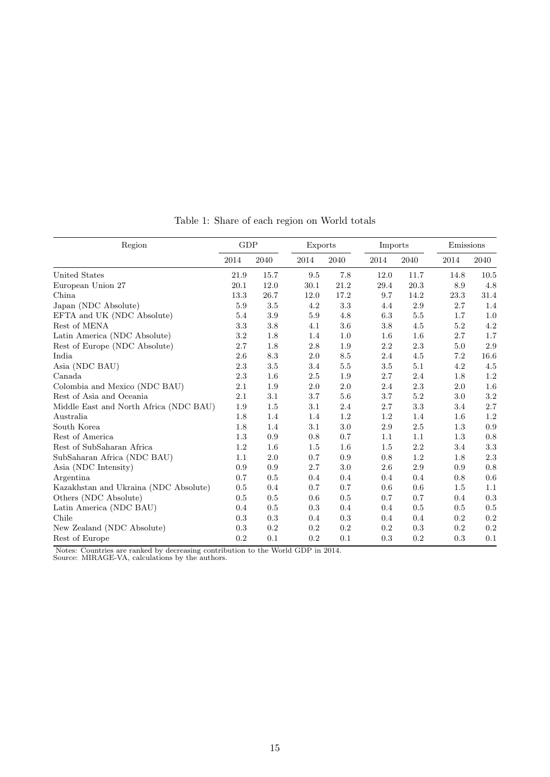<span id="page-14-0"></span>

| Region                                 | GDP     |         | Exports |           | Imports |         |      | Emissions |  |
|----------------------------------------|---------|---------|---------|-----------|---------|---------|------|-----------|--|
|                                        | 2014    | 2040    | 2014    | 2040      | 2014    | 2040    | 2014 | 2040      |  |
| United States                          | 21.9    | 15.7    | 9.5     | 7.8       | 12.0    | 11.7    | 14.8 | 10.5      |  |
| European Union 27                      | 20.1    | 12.0    | 30.1    | 21.2      | 29.4    | 20.3    | 8.9  | 4.8       |  |
| China                                  | 13.3    | 26.7    | 12.0    | 17.2      | 9.7     | 14.2    | 23.3 | 31.4      |  |
| Japan (NDC Absolute)                   | 5.9     | 3.5     | 4.2     | 3.3       | 4.4     | 2.9     | 2.7  | 1.4       |  |
| EFTA and UK (NDC Absolute)             | $5.4\,$ | $3.9\,$ | 5.9     | 4.8       | 6.3     | $5.5\,$ | 1.7  | 1.0       |  |
| Rest of MENA                           | $3.3\,$ | 3.8     | 4.1     | 3.6       | 3.8     | 4.5     | 5.2  | $4.2\,$   |  |
| Latin America (NDC Absolute)           | $3.2\,$ | 1.8     | 1.4     | 1.0       | 1.6     | 1.6     | 2.7  | 1.7       |  |
| Rest of Europe (NDC Absolute)          | 2.7     | 1.8     | 2.8     | 1.9       | 2.2     | 2.3     | 5.0  | 2.9       |  |
| India                                  | 2.6     | 8.3     | 2.0     | 8.5       | 2.4     | 4.5     | 7.2  | 16.6      |  |
| Asia (NDC BAU)                         | $2.3\,$ | $3.5\,$ | 3.4     | $5.5\,$   | 3.5     | 5.1     | 4.2  | 4.5       |  |
| Canada                                 | $2.3\,$ | 1.6     | $2.5\,$ | 1.9       | 2.7     | 2.4     | 1.8  | $1.2\,$   |  |
| Colombia and Mexico (NDC BAU)          | 2.1     | 1.9     | $2.0\,$ | $2.0\,$   | 2.4     | $2.3\,$ | 2.0  | 1.6       |  |
| Rest of Asia and Oceania               | 2.1     | 3.1     | 3.7     | 5.6       | 3.7     | 5.2     | 3.0  | $3.2\,$   |  |
| Middle East and North Africa (NDC BAU) | 1.9     | 1.5     | 3.1     | 2.4       | 2.7     | 3.3     | 3.4  | 2.7       |  |
| Australia                              | 1.8     | 1.4     | 1.4     | $1.2\,$   | 1.2     | 1.4     | 1.6  | $1.2\,$   |  |
| South Korea                            | 1.8     | 1.4     | 3.1     | 3.0       | 2.9     | 2.5     | 1.3  | 0.9       |  |
| Rest of America                        | 1.3     | 0.9     | 0.8     | 0.7       | 1.1     | 1.1     | 1.3  | 0.8       |  |
| Rest of SubSaharan Africa              | $1.2\,$ | 1.6     | 1.5     | $1.6\,$   | 1.5     | 2.2     | 3.4  | $\!3.3$   |  |
| SubSaharan Africa (NDC BAU)            | 1.1     | 2.0     | 0.7     | $\rm 0.9$ | 0.8     | $1.2\,$ | 1.8  | $2.3\,$   |  |
| Asia (NDC Intensity)                   | 0.9     | 0.9     | 2.7     | 3.0       | 2.6     | 2.9     | 0.9  | $0.8\,$   |  |
| Argentina                              | 0.7     | 0.5     | 0.4     | 0.4       | 0.4     | 0.4     | 0.8  | 0.6       |  |
| Kazakhstan and Ukraina (NDC Absolute)  | 0.5     | 0.4     | 0.7     | 0.7       | 0.6     | 0.6     | 1.5  | 1.1       |  |
| Others (NDC Absolute)                  | 0.5     | 0.5     | 0.6     | 0.5       | 0.7     | 0.7     | 0.4  | 0.3       |  |
| Latin America (NDC BAU)                | 0.4     | 0.5     | 0.3     | 0.4       | 0.4     | 0.5     | 0.5  | 0.5       |  |
| Chile                                  | 0.3     | 0.3     | 0.4     | 0.3       | 0.4     | 0.4     | 0.2  | 0.2       |  |
| New Zealand (NDC Absolute)             | 0.3     | 0.2     | 0.2     | $0.2\,$   | $0.2\,$ | 0.3     | 0.2  | $\rm 0.2$ |  |
| Rest of Europe                         | $0.2\,$ | 0.1     | 0.2     | 0.1       | 0.3     | 0.2     | 0.3  | 0.1       |  |

Table 1: Share of each region on World totals

Notes: Countries are ranked by decreasing contribution to the World GDP in 2014.

Source: MIRAGE-VA, calculations by the authors.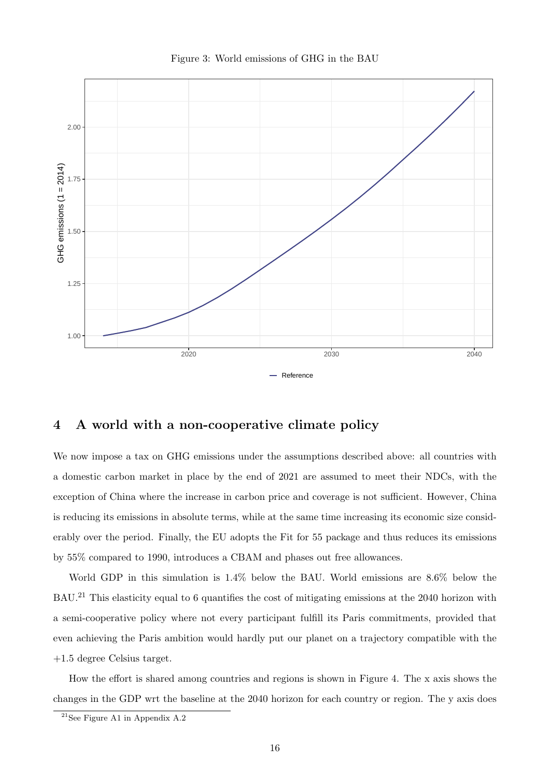<span id="page-15-0"></span>

Figure 3: World emissions of GHG in the BAU

## 4 A world with a non-cooperative climate policy

We now impose a tax on GHG emissions under the assumptions described above: all countries with a domestic carbon market in place by the end of 2021 are assumed to meet their NDCs, with the exception of China where the increase in carbon price and coverage is not sufficient. However, China is reducing its emissions in absolute terms, while at the same time increasing its economic size considerably over the period. Finally, the EU adopts the Fit for 55 package and thus reduces its emissions by 55% compared to 1990, introduces a CBAM and phases out free allowances.

World GDP in this simulation is 1.4% below the BAU. World emissions are 8.6% below the BAU.[21](#page-15-1) This elasticity equal to 6 quantifies the cost of mitigating emissions at the 2040 horizon with a semi-cooperative policy where not every participant fulfill its Paris commitments, provided that even achieving the Paris ambition would hardly put our planet on a trajectory compatible with the +1.5 degree Celsius target.

How the effort is shared among countries and regions is shown in Figure [4.](#page-16-0) The x axis shows the changes in the GDP wrt the baseline at the 2040 horizon for each country or region. The y axis does

<span id="page-15-1"></span> $21$ See Figure [A1](#page-25-0) in Appendix [A.2](#page-25-1)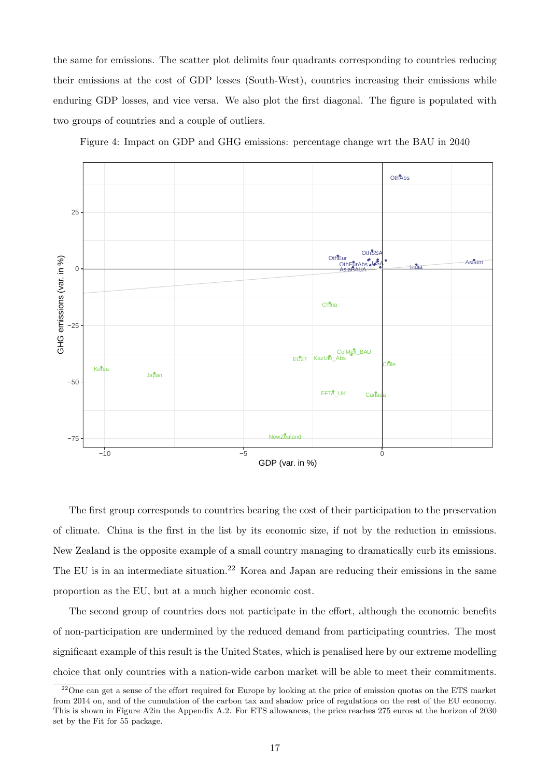the same for emissions. The scatter plot delimits four quadrants corresponding to countries reducing their emissions at the cost of GDP losses (South-West), countries increasing their emissions while enduring GDP losses, and vice versa. We also plot the first diagonal. The figure is populated with two groups of countries and a couple of outliers.

Figure 4: Impact on GDP and GHG emissions: percentage change wrt the BAU in 2040

<span id="page-16-0"></span>

The first group corresponds to countries bearing the cost of their participation to the preservation of climate. China is the first in the list by its economic size, if not by the reduction in emissions. New Zealand is the opposite example of a small country managing to dramatically curb its emissions. The EU is in an intermediate situation.<sup>[22](#page-16-1)</sup> Korea and Japan are reducing their emissions in the same proportion as the EU, but at a much higher economic cost.

The second group of countries does not participate in the effort, although the economic benefits of non-participation are undermined by the reduced demand from participating countries. The most significant example of this result is the United States, which is penalised here by our extreme modelling choice that only countries with a nation-wide carbon market will be able to meet their commitments.

<span id="page-16-1"></span><sup>&</sup>lt;sup>22</sup>One can get a sense of the effort required for Europe by looking at the price of emission quotas on the ETS market from 2014 on, and of the cumulation of the carbon tax and shadow price of regulations on the rest of the EU economy. This is shown in Figure [A2i](#page-26-0)n the Appendix [A.2.](#page-25-1) For ETS allowances, the price reaches 275 euros at the horizon of 2030 set by the Fit for 55 package.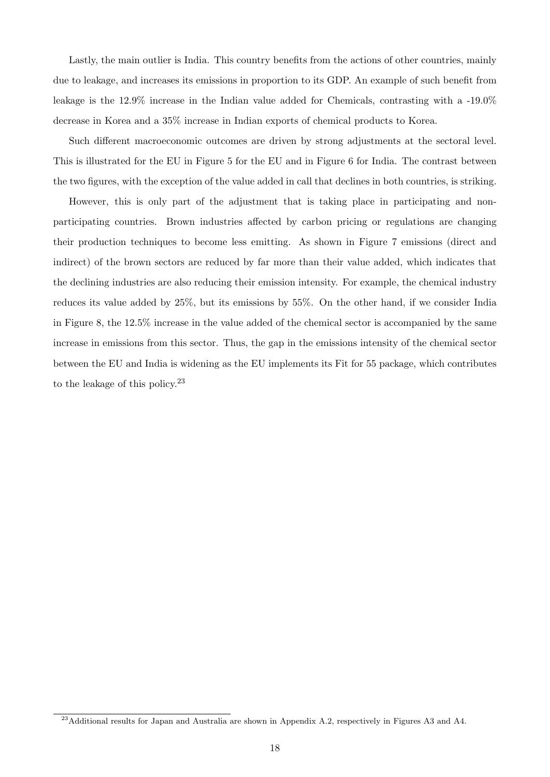Lastly, the main outlier is India. This country benefits from the actions of other countries, mainly due to leakage, and increases its emissions in proportion to its GDP. An example of such benefit from leakage is the 12.9% increase in the Indian value added for Chemicals, contrasting with a -19.0% decrease in Korea and a 35% increase in Indian exports of chemical products to Korea.

Such different macroeconomic outcomes are driven by strong adjustments at the sectoral level. This is illustrated for the EU in Figure [5](#page-18-0) for the EU and in Figure [6](#page-18-1) for India. The contrast between the two figures, with the exception of the value added in call that declines in both countries, is striking.

However, this is only part of the adjustment that is taking place in participating and nonparticipating countries. Brown industries affected by carbon pricing or regulations are changing their production techniques to become less emitting. As shown in Figure [7](#page-19-0) emissions (direct and indirect) of the brown sectors are reduced by far more than their value added, which indicates that the declining industries are also reducing their emission intensity. For example, the chemical industry reduces its value added by 25%, but its emissions by 55%. On the other hand, if we consider India in Figure [8,](#page-19-1) the 12.5% increase in the value added of the chemical sector is accompanied by the same increase in emissions from this sector. Thus, the gap in the emissions intensity of the chemical sector between the EU and India is widening as the EU implements its Fit for 55 package, which contributes to the leakage of this policy.<sup>[23](#page-17-0)</sup>

<span id="page-17-0"></span><sup>&</sup>lt;sup>23</sup>Additional results for Japan and Australia are shown in Appendix [A.2,](#page-25-1) respectively in Figures [A3](#page-27-0) and [A4.](#page-28-0)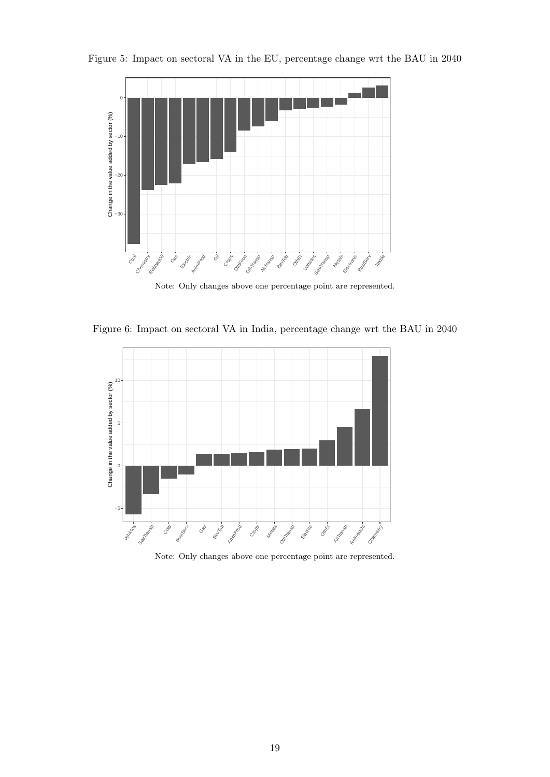

<span id="page-18-0"></span>Figure 5: Impact on sectoral VA in the EU, percentage change wrt the BAU in 2040

Note: Only changes above one percentage point are represented.

<span id="page-18-1"></span>Figure 6: Impact on sectoral VA in India, percentage change wrt the BAU in 2040



Note: Only changes above one percentage point are represented.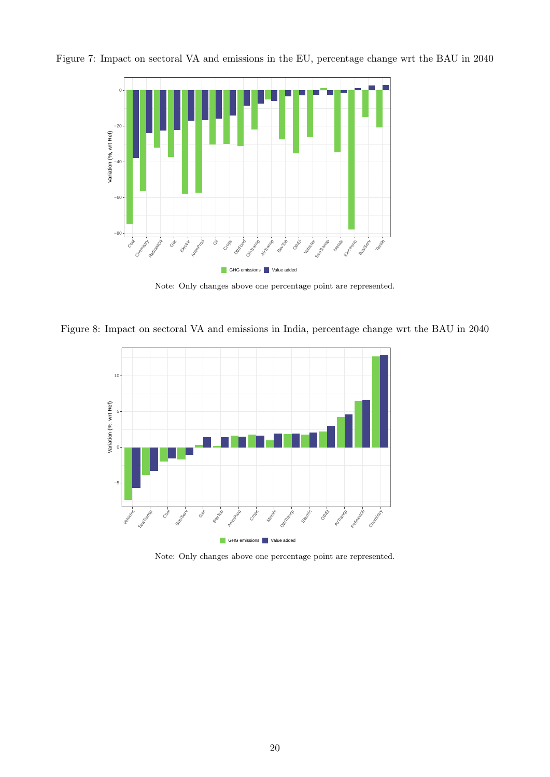<span id="page-19-0"></span>



Note: Only changes above one percentage point are represented.

<span id="page-19-1"></span>Figure 8: Impact on sectoral VA and emissions in India, percentage change wrt the BAU in 2040



Note: Only changes above one percentage point are represented.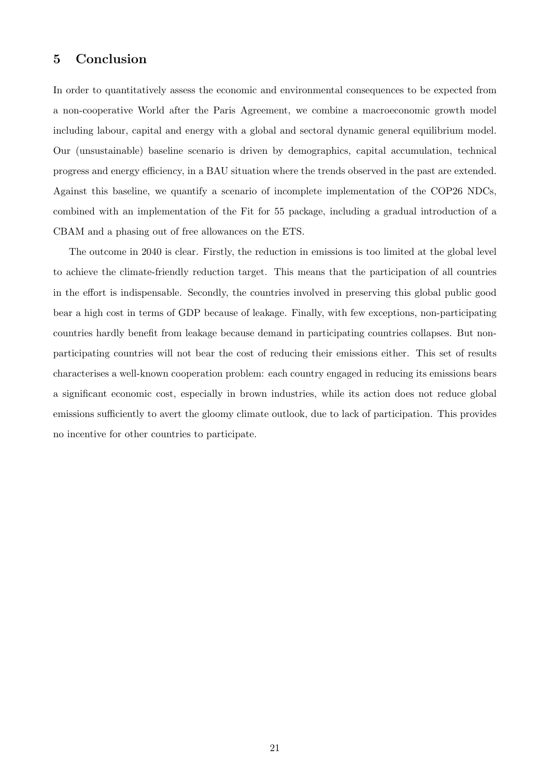## 5 Conclusion

In order to quantitatively assess the economic and environmental consequences to be expected from a non-cooperative World after the Paris Agreement, we combine a macroeconomic growth model including labour, capital and energy with a global and sectoral dynamic general equilibrium model. Our (unsustainable) baseline scenario is driven by demographics, capital accumulation, technical progress and energy efficiency, in a BAU situation where the trends observed in the past are extended. Against this baseline, we quantify a scenario of incomplete implementation of the COP26 NDCs, combined with an implementation of the Fit for 55 package, including a gradual introduction of a CBAM and a phasing out of free allowances on the ETS.

The outcome in 2040 is clear. Firstly, the reduction in emissions is too limited at the global level to achieve the climate-friendly reduction target. This means that the participation of all countries in the effort is indispensable. Secondly, the countries involved in preserving this global public good bear a high cost in terms of GDP because of leakage. Finally, with few exceptions, non-participating countries hardly benefit from leakage because demand in participating countries collapses. But nonparticipating countries will not bear the cost of reducing their emissions either. This set of results characterises a well-known cooperation problem: each country engaged in reducing its emissions bears a significant economic cost, especially in brown industries, while its action does not reduce global emissions sufficiently to avert the gloomy climate outlook, due to lack of participation. This provides no incentive for other countries to participate.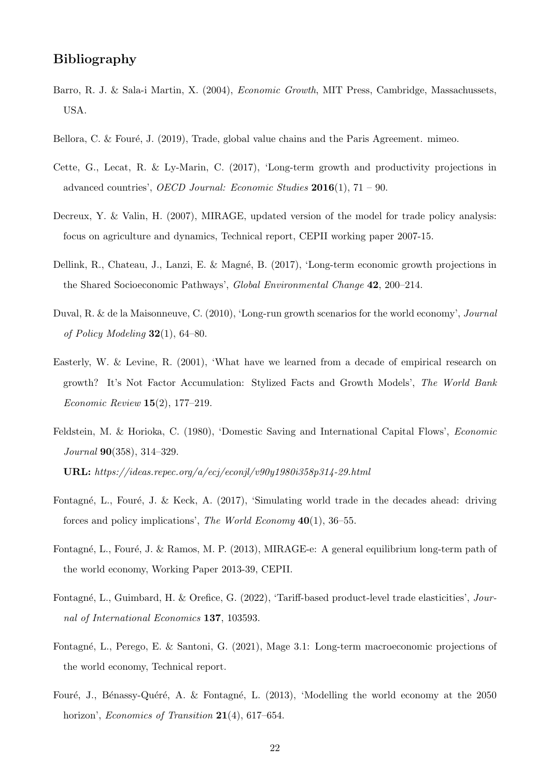## Bibliography

- <span id="page-21-5"></span>Barro, R. J. & Sala-i Martin, X. (2004), Economic Growth, MIT Press, Cambridge, Massachussets, USA.
- <span id="page-21-2"></span>Bellora, C. & Fouré, J.  $(2019)$ , Trade, global value chains and the Paris Agreement. mimeo.
- <span id="page-21-4"></span>Cette, G., Lecat, R. & Ly-Marin, C. (2017), 'Long-term growth and productivity projections in advanced countries', *OECD Journal: Economic Studies*  $2016(1)$ ,  $71 - 90$ .
- <span id="page-21-11"></span>Decreux, Y. & Valin, H. (2007), MIRAGE, updated version of the model for trade policy analysis: focus on agriculture and dynamics, Technical report, CEPII working paper 2007-15.
- <span id="page-21-8"></span>Dellink, R., Chateau, J., Lanzi, E. & Magné, B. (2017), 'Long-term economic growth projections in the Shared Socioeconomic Pathways', Global Environmental Change 42, 200–214.
- <span id="page-21-3"></span>Duval, R. & de la Maisonneuve, C. (2010), 'Long-run growth scenarios for the world economy', Journal of Policy Modeling  $32(1)$ , 64–80.
- <span id="page-21-6"></span>Easterly, W. & Levine, R. (2001), 'What have we learned from a decade of empirical research on growth? It's Not Factor Accumulation: Stylized Facts and Growth Models', The World Bank Economic Review 15(2), 177–219.
- <span id="page-21-9"></span>Feldstein, M. & Horioka, C. (1980), 'Domestic Saving and International Capital Flows', Economic Journal 90(358), 314–329.

URL: https://ideas.repec.org/a/ecj/econjl/v90y1980i358p314-29.html

- <span id="page-21-7"></span>Fontagné, L., Fouré, J. & Keck, A. (2017), 'Simulating world trade in the decades ahead: driving forces and policy implications', The World Economy 40(1), 36–55.
- <span id="page-21-10"></span>Fontagné, L., Fouré, J. & Ramos, M. P. (2013), MIRAGE-e: A general equilibrium long-term path of the world economy, Working Paper 2013-39, CEPII.
- <span id="page-21-12"></span>Fontagné, L., Guimbard, H. & Orefice, G. (2022), 'Tariff-based product-level trade elasticities', Journal of International Economics 137, 103593.
- <span id="page-21-1"></span>Fontagn´e, L., Perego, E. & Santoni, G. (2021), Mage 3.1: Long-term macroeconomic projections of the world economy, Technical report.
- <span id="page-21-0"></span>Fouré, J., Bénassy-Quéré, A. & Fontagné, L. (2013), 'Modelling the world economy at the 2050 horizon', *Economics of Transition* 21(4), 617–654.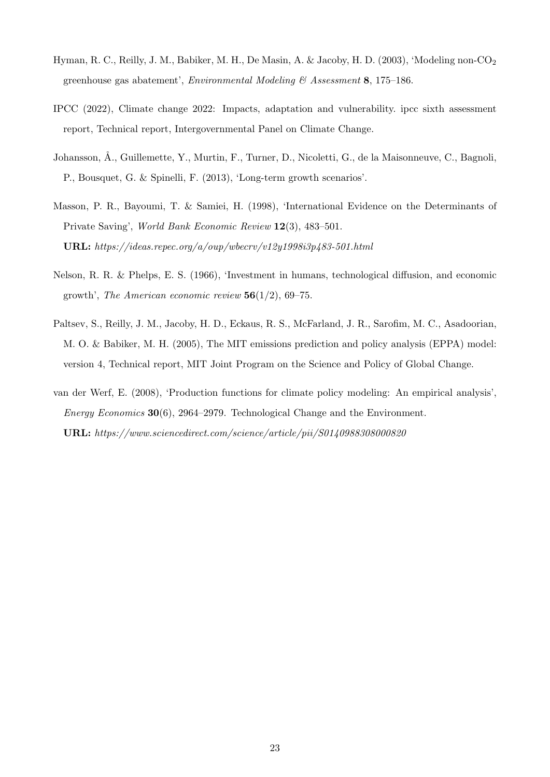- <span id="page-22-6"></span>Hyman, R. C., Reilly, J. M., Babiker, M. H., De Masin, A. & Jacoby, H. D. (2003), 'Modeling non-CO<sup>2</sup> greenhouse gas abatement', Environmental Modeling & Assessment 8, 175–186.
- <span id="page-22-0"></span>IPCC (2022), Climate change 2022: Impacts, adaptation and vulnerability. ipcc sixth assessment report, Technical report, Intergovernmental Panel on Climate Change.
- <span id="page-22-1"></span>Johansson, Å., Guillemette, Y., Murtin, F., Turner, D., Nicoletti, G., de la Maisonneuve, C., Bagnoli, P., Bousquet, G. & Spinelli, F. (2013), 'Long-term growth scenarios'.
- <span id="page-22-4"></span>Masson, P. R., Bayoumi, T. & Samiei, H. (1998), 'International Evidence on the Determinants of Private Saving', World Bank Economic Review 12(3), 483–501. URL: https://ideas.repec.org/a/oup/wbecrv/v12y1998i3p483-501.html
- <span id="page-22-5"></span>Nelson, R. R. & Phelps, E. S. (1966), 'Investment in humans, technological diffusion, and economic growth', The American economic review  $56(1/2)$ , 69–75.
- <span id="page-22-3"></span>Paltsev, S., Reilly, J. M., Jacoby, H. D., Eckaus, R. S., McFarland, J. R., Sarofim, M. C., Asadoorian, M. O. & Babiker, M. H. (2005), The MIT emissions prediction and policy analysis (EPPA) model: version 4, Technical report, MIT Joint Program on the Science and Policy of Global Change.
- <span id="page-22-2"></span>van der Werf, E. (2008), 'Production functions for climate policy modeling: An empirical analysis', Energy Economics  $30(6)$ , 2964–2979. Technological Change and the Environment. URL: https://www.sciencedirect.com/science/article/pii/S0140988308000820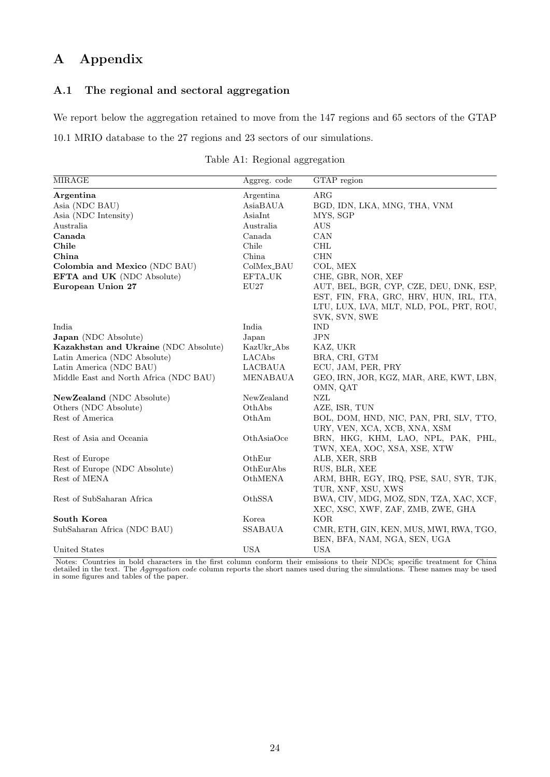# A Appendix

## A.1 The regional and sectoral aggregation

We report below the aggregation retained to move from the 147 regions and 65 sectors of the GTAP

<span id="page-23-0"></span>10.1 MRIO database to the 27 regions and 23 sectors of our simulations.

|  | Table A1: Regional aggregation |
|--|--------------------------------|
|  |                                |

| <b>MIRAGE</b>                          | Aggreg. code                 | GTAP region                             |
|----------------------------------------|------------------------------|-----------------------------------------|
| Argentina                              | Argentina                    | ARG                                     |
| Asia (NDC BAU)                         | AsiaBAUA                     | BGD, IDN, LKA, MNG, THA, VNM            |
| Asia (NDC Intensity)                   | AsiaInt                      | MYS, SGP                                |
| Australia                              | Australia                    | AUS                                     |
| Canada                                 | Canada                       | CAN                                     |
| Chile                                  | Chile                        | <b>CHL</b>                              |
| China                                  | China                        | <b>CHN</b>                              |
| Colombia and Mexico (NDC BAU)          | $\operatorname{ColMex\_BAU}$ | COL, MEX                                |
| EFTA and UK (NDC Absolute)             | $\operatorname{EFTA\_UK}$    | CHE, GBR, NOR, XEF                      |
| European Union 27                      | EU27                         | AUT, BEL, BGR, CYP, CZE, DEU, DNK, ESP, |
|                                        |                              | EST, FIN, FRA, GRC, HRV, HUN, IRL, ITA, |
|                                        |                              | LTU, LUX, LVA, MLT, NLD, POL, PRT, ROU, |
|                                        |                              | SVK, SVN, SWE                           |
| India                                  | India                        | <b>IND</b>                              |
| Japan (NDC Absolute)                   | Japan                        | $_{\rm JPN}$                            |
| Kazakhstan and Ukraine (NDC Absolute)  | KazUkr_Abs                   | KAZ, UKR                                |
| Latin America (NDC Absolute)           | LACAbs                       | BRA, CRI, GTM                           |
| Latin America (NDC BAU)                | <b>LACBAUA</b>               | ECU, JAM, PER, PRY                      |
| Middle East and North Africa (NDC BAU) | MENABAUA                     | GEO, IRN, JOR, KGZ, MAR, ARE, KWT, LBN, |
|                                        |                              | OMN, QAT                                |
| NewZealand (NDC Absolute)              | NewZealand                   | ${\rm NZL}$                             |
| Others (NDC Absolute)                  | OthAbs                       | AZE, ISR, TUN                           |
| Rest of America                        | OthAm                        | BOL, DOM, HND, NIC, PAN, PRI, SLV, TTO, |
|                                        |                              | URY, VEN, XCA, XCB, XNA, XSM            |
| Rest of Asia and Oceania               | OthAsiaOce                   | BRN, HKG, KHM, LAO, NPL, PAK, PHL,      |
|                                        |                              | TWN, XEA, XOC, XSA, XSE, XTW            |
| Rest of Europe                         | OthEur                       | ALB, XER, SRB                           |
| Rest of Europe (NDC Absolute)          | OthEurAbs                    | RUS, BLR, XEE                           |
| Rest of MENA                           | OthMENA                      | ARM, BHR, EGY, IRQ, PSE, SAU, SYR, TJK, |
|                                        |                              | TUR, XNF, XSU, XWS                      |
| Rest of SubSaharan Africa              | OthSSA                       | BWA, CIV, MDG, MOZ, SDN, TZA, XAC, XCF, |
|                                        |                              | XEC, XSC, XWF, ZAF, ZMB, ZWE, GHA       |
| South Korea                            | Korea                        | <b>KOR</b>                              |
| SubSaharan Africa (NDC BAU)            | <b>SSABAUA</b>               | CMR, ETH, GIN, KEN, MUS, MWI, RWA, TGO, |
|                                        |                              | BEN, BFA, NAM, NGA, SEN, UGA            |
| United States                          | <b>USA</b>                   | <b>USA</b>                              |

Notes: Countries in bold characters in the first column conform their emissions to their NDCs; specific treatment for China detailed in the text. The Aggregation code column reports the short names used during the simulations. These names may be used in some figures and tables of the paper.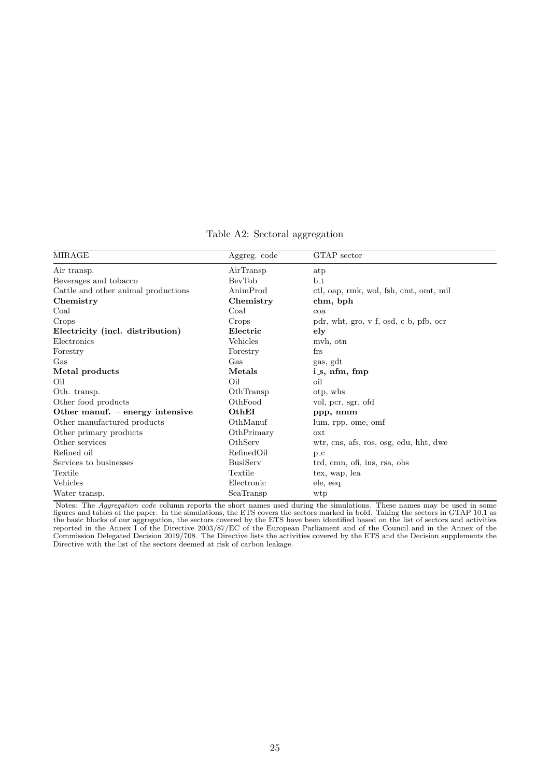|  |  | Table A2: Sectoral aggregation |
|--|--|--------------------------------|
|--|--|--------------------------------|

<span id="page-24-0"></span>

| MIRAGE                              | Aggreg. code    | GTAP sector                            |
|-------------------------------------|-----------------|----------------------------------------|
| Air transp.                         | AirTransp       | atp                                    |
| Beverages and tobacco               | BevTob          | $b_t$                                  |
| Cattle and other animal productions | AnimProd        | ctl, oap, rmk, wol, fsh, cmt, omt, mil |
| Chemistry                           | Chemistry       | chm, bph                               |
| Coal                                | Coal            | coa                                    |
| Crops                               | Crops           | pdr, wht, gro, v_f, osd, c_b, pfb, ocr |
| Electricity (incl. distribution)    | Electric        | $_{\rm ely}$                           |
| Electronics                         | Vehicles        | mvh, otn                               |
| Forestry                            | Forestry        | frs                                    |
| $\operatorname{Gas}$                | Gas             | gas, gdt                               |
| Metal products                      | Metals          | $i_s$ , nfm, fmp                       |
| Oil                                 | Oil             | oil                                    |
| Oth. transp.                        | OthTransp       | otp, whs                               |
| Other food products                 | OthFood         | vol, pcr, sgr, ofd                     |
| Other manuf. - energy intensive     | OthEI           | ppp, nmm                               |
| Other manufactured products         | OthManuf        | lum, rpp, ome, omf                     |
| Other primary products              | OthPrimary      | oxt                                    |
| Other services                      | OthServ         | wtr, cns, afs, ros, osg, edu, hht, dwe |
| Refined oil                         | RefinedOil      | $p_{\text{-}C}$                        |
| Services to businesses              | <b>BusiServ</b> | trd, cmn, ofi, ins, rsa, obs           |
| Textile                             | Textile         | tex, wap, lea                          |
| Vehicles                            | Electronic      | ele, eeq                               |
| Water transp.                       | SeaTransp       | wtp                                    |

Notes: The *Aggregation code* column reports the short names used during the simulations. These names may be used in some figures and tables of the paper. In the simulations, the ETS covers the sectors marked in bold. Taking the sectors in GTAP 10.1 as the basic blocks of our aggregation, the sectors covered by the ETS have been identified based on the list of sectors and activities reported in the Annex I of the Directive 2003/87/EC of the European Parliament and of the Council and in the Annex of the Commission Delegated Decision 2019/708. The Directive lists the activities covered by the ETS and the Decision supplements the Directive with the list of the sectors deemed at risk of carbon leakage.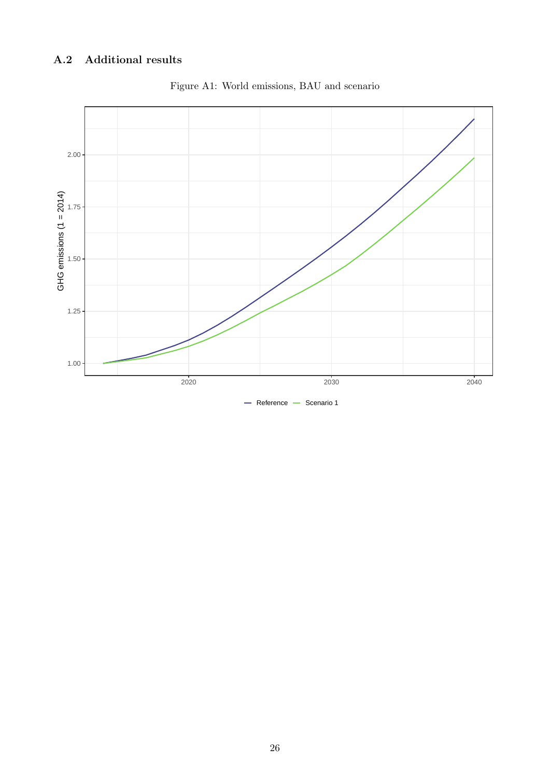## <span id="page-25-1"></span><span id="page-25-0"></span>A.2 Additional results



Figure A1: World emissions, BAU and scenario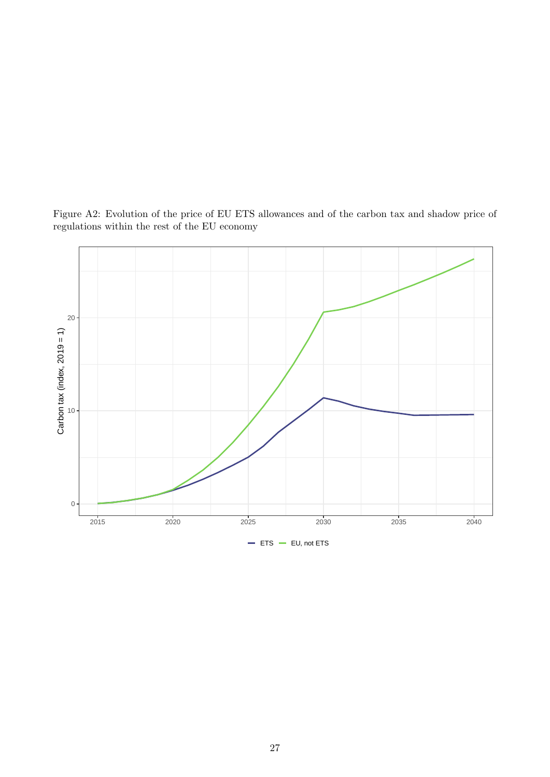

<span id="page-26-0"></span>Figure A2: Evolution of the price of EU ETS allowances and of the carbon tax and shadow price of regulations within the rest of the EU economy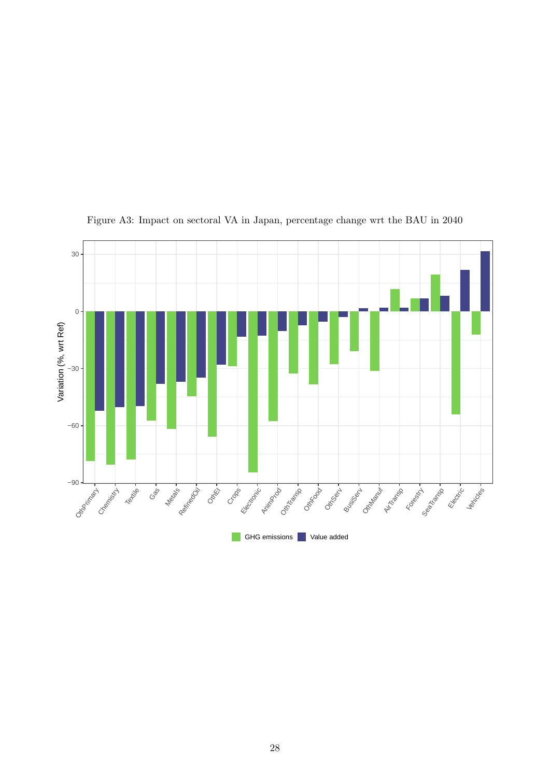<span id="page-27-0"></span>

Figure A3: Impact on sectoral VA in Japan, percentage change wrt the BAU in 2040